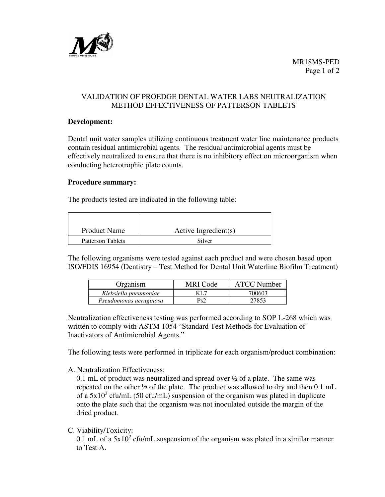

MR18MS-PED Page 1 of 2

# VALIDATION OF PROEDGE DENTAL WATER LABS NEUTRALIZATION METHOD EFFECTIVENESS OF PATTERSON TABLETS

### **Development:**

Dental unit water samples utilizing continuous treatment water line maintenance products contain residual antimicrobial agents. The residual antimicrobial agents must be effectively neutralized to ensure that there is no inhibitory effect on microorganism when conducting heterotrophic plate counts.

### **Procedure summary:**

The products tested are indicated in the following table:

| <b>Product Name</b>      | Active Ingredient(s) |
|--------------------------|----------------------|
| <b>Patterson Tablets</b> | Silver               |

The following organisms were tested against each product and were chosen based upon ISO/FDIS 16954 (Dentistry – Test Method for Dental Unit Waterline Biofilm Treatment)

| Organism               | MRI Code | <b>ATCC Number</b> |
|------------------------|----------|--------------------|
| Klebsiella pneumoniae  | KL 7     | 700603             |
| Pseudomonas aeruginosa | Ps2      | 27853              |

Neutralization effectiveness testing was performed according to SOP L-268 which was written to comply with ASTM 1054 "Standard Test Methods for Evaluation of Inactivators of Antimicrobial Agents."

The following tests were performed in triplicate for each organism/product combination:

A. Neutralization Effectiveness:

0.1 mL of product was neutralized and spread over ½ of a plate. The same was repeated on the other ½ of the plate. The product was allowed to dry and then 0.1 mL of a  $5x10^2$  cfu/mL (50 cfu/mL) suspension of the organism was plated in duplicate onto the plate such that the organism was not inoculated outside the margin of the dried product.

C. Viability/Toxicity:

0.1 mL of a  $5x10^2$  cfu/mL suspension of the organism was plated in a similar manner to Test A.